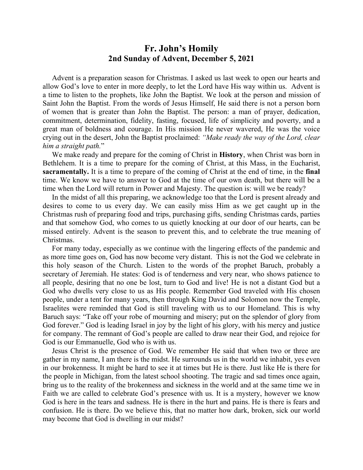## **Fr. John's Homily 2nd Sunday of Advent, December 5, 2021**

 Advent is a preparation season for Christmas. I asked us last week to open our hearts and allow God's love to enter in more deeply, to let the Lord have His way within us. Advent is a time to listen to the prophets, like John the Baptist. We look at the person and mission of Saint John the Baptist. From the words of Jesus Himself, He said there is not a person born of women that is greater than John the Baptist. The person: a man of prayer, dedication, commitment, determination, fidelity, fasting, focused, life of simplicity and poverty, and a great man of boldness and courage. In His mission He never wavered, He was the voice crying out in the desert, John the Baptist proclaimed: *"Make ready the way of the Lord, clear him a straight path.*"

 We make ready and prepare for the coming of Christ in **History**, when Christ was born in Bethlehem. It is a time to prepare for the coming of Christ, at this Mass, in the Eucharist, **sacramentally.** It is a time to prepare of the coming of Christ at the end of time, in the **final** time. We know we have to answer to God at the time of our own death, but there will be a time when the Lord will return in Power and Majesty. The question is: will we be ready?

 In the midst of all this preparing, we acknowledge too that the Lord is present already and desires to come to us every day. We can easily miss Him as we get caught up in the Christmas rush of preparing food and trips, purchasing gifts, sending Christmas cards, parties and that somehow God, who comes to us quietly knocking at our door of our hearts, can be missed entirely. Advent is the season to prevent this, and to celebrate the true meaning of Christmas.

 For many today, especially as we continue with the lingering effects of the pandemic and as more time goes on, God has now become very distant. This is not the God we celebrate in this holy season of the Church. Listen to the words of the prophet Baruch, probably a secretary of Jeremiah. He states: God is of tenderness and very near, who shows patience to all people, desiring that no one be lost, turn to God and live! He is not a distant God but a God who dwells very close to us as His people. Remember God traveled with His chosen people, under a tent for many years, then through King David and Solomon now the Temple, Israelites were reminded that God is still traveling with us to our Homeland. This is why Baruch says: "Take off your robe of mourning and misery; put on the splendor of glory from God forever." God is leading Israel in joy by the light of his glory, with his mercy and justice for company. The remnant of God's people are called to draw near their God, and rejoice for God is our Emmanuelle, God who is with us.

 Jesus Christ is the presence of God. We remember He said that when two or three are gather in my name, I am there is the midst. He surrounds us in the world we inhabit, yes even in our brokenness. It might be hard to see it at times but He is there. Just like He is there for the people in Michigan, from the latest school shooting. The tragic and sad times once again, bring us to the reality of the brokenness and sickness in the world and at the same time we in Faith we are called to celebrate God's presence with us. It is a mystery, however we know God is here in the tears and sadness. He is there in the hurt and pains. He is there is fears and confusion. He is there. Do we believe this, that no matter how dark, broken, sick our world may become that God is dwelling in our midst?